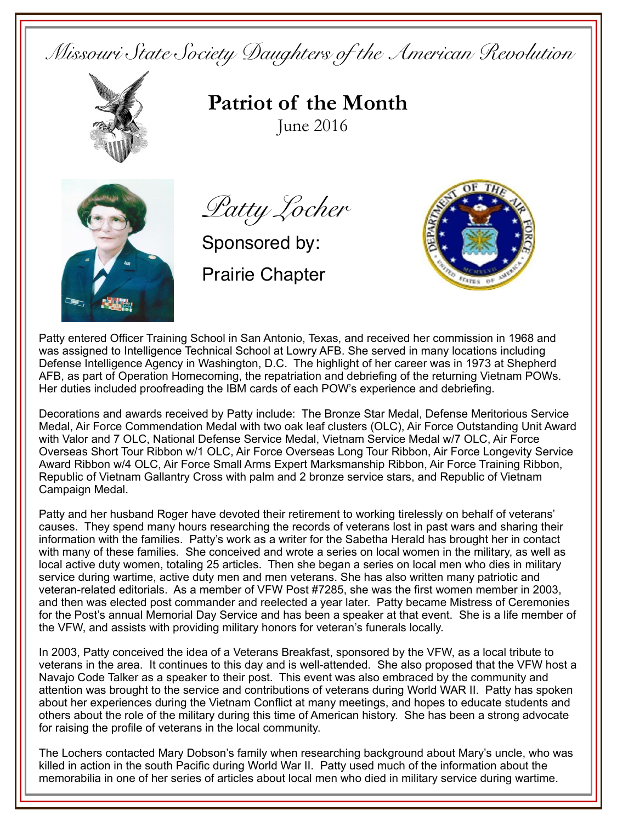*Missouri State Society Daughters of the American Revolution* 



**Patriot of the Month**June 2016



*Patty Locher*

Sponsored by:

Prairie Chapter



Patty entered Officer Training School in San Antonio, Texas, and received her commission in 1968 and was assigned to Intelligence Technical School at Lowry AFB. She served in many locations including Defense Intelligence Agency in Washington, D.C. The highlight of her career was in 1973 at Shepherd AFB, as part of Operation Homecoming, the repatriation and debriefing of the returning Vietnam POWs. Her duties included proofreading the IBM cards of each POW's experience and debriefing.

Decorations and awards received by Patty include: The Bronze Star Medal, Defense Meritorious Service Medal, Air Force Commendation Medal with two oak leaf clusters (OLC), Air Force Outstanding Unit Award with Valor and 7 OLC, National Defense Service Medal, Vietnam Service Medal w/7 OLC, Air Force Overseas Short Tour Ribbon w/1 OLC, Air Force Overseas Long Tour Ribbon, Air Force Longevity Service Award Ribbon w/4 OLC, Air Force Small Arms Expert Marksmanship Ribbon, Air Force Training Ribbon, Republic of Vietnam Gallantry Cross with palm and 2 bronze service stars, and Republic of Vietnam Campaign Medal.

Patty and her husband Roger have devoted their retirement to working tirelessly on behalf of veterans' causes. They spend many hours researching the records of veterans lost in past wars and sharing their information with the families. Patty's work as a writer for the Sabetha Herald has brought her in contact with many of these families. She conceived and wrote a series on local women in the military, as well as local active duty women, totaling 25 articles. Then she began a series on local men who dies in military service during wartime, active duty men and men veterans. She has also written many patriotic and veteran-related editorials. As a member of VFW Post #7285, she was the first women member in 2003, and then was elected post commander and reelected a year later. Patty became Mistress of Ceremonies for the Post's annual Memorial Day Service and has been a speaker at that event. She is a life member of the VFW, and assists with providing military honors for veteran's funerals locally.

In 2003, Patty conceived the idea of a Veterans Breakfast, sponsored by the VFW, as a local tribute to veterans in the area. It continues to this day and is well-attended. She also proposed that the VFW host a Navajo Code Talker as a speaker to their post. This event was also embraced by the community and attention was brought to the service and contributions of veterans during World WAR II. Patty has spoken about her experiences during the Vietnam Conflict at many meetings, and hopes to educate students and others about the role of the military during this time of American history. She has been a strong advocate for raising the profile of veterans in the local community.

The Lochers contacted Mary Dobson's family when researching background about Mary's uncle, who was killed in action in the south Pacific during World War II. Patty used much of the information about the memorabilia in one of her series of articles about local men who died in military service during wartime.